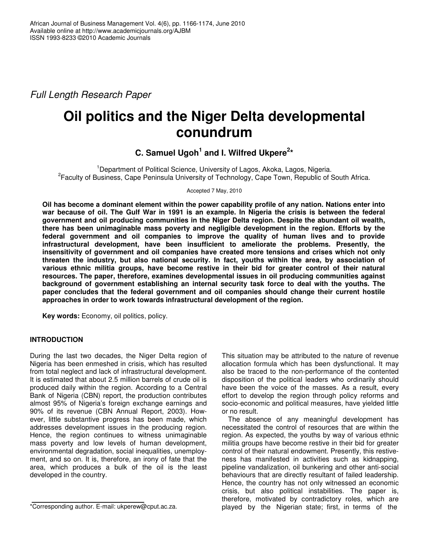*Full Length Research Paper*

# **Oil politics and the Niger Delta developmental conundrum**

# **C. Samuel Ugoh 1 and I. Wilfred Ukpere 2 \***

<sup>1</sup>Department of Political Science, University of Lagos, Akoka, Lagos, Nigeria. <sup>2</sup> Faculty of Business, Cape Peninsula University of Technology, Cape Town, Republic of South Africa.

Accepted 7 May, 2010

**Oil has become a dominant element within the power capability profile of any nation. Nations enter into** war because of oil. The Gulf War in 1991 is an example. In Nigeria the crisis is between the federal **government and oil producing communities in the Niger Delta region. Despite the abundant oil wealth, there has been unimaginable mass poverty and negligible development in the region. Efforts by the federal government and oil companies to improve the quality of human lives and to provide infrastructural development, have been insufficient to ameliorate the problems. Presently, the insensitivity of government and oil companies have created more tensions and crises which not only threaten the industry, but also national security. In fact, youths within the area, by association of various ethnic militia groups, have become restive in their bid for greater control of their natural resources. The paper, therefore, examines developmental issues in oil producing communities against background of government establishing an internal security task force to deal with the youths. The paper concludes that the federal government and oil companies should change their current hostile approaches in order to work towards infrastructural development of the region.**

**Key words:** Economy, oil politics, policy.

## **INTRODUCTION**

During the last two decades, the Niger Delta region of Nigeria has been enmeshed in crisis, which has resulted from total neglect and lack of infrastructural development. It is estimated that about 2.5 million barrels of crude oil is produced daily within the region. According to a Central Bank of Nigeria (CBN) report, the production contributes almost 95% of Nigeria's foreign exchange earnings and 90% of its revenue (CBN Annual Report, 2003). However, little substantive progress has been made, which addresses development issues in the producing region. Hence, the region continues to witness unimaginable mass poverty and low levels of human development, environmental degradation, social inequalities, unemployment, and so on. It is, therefore, an irony of fate that the area, which produces a bulk of the oil is the least developed in the country.

This situation may be attributed to the nature of revenue allocation formula which has been dysfunctional. It may also be traced to the non-performance of the contented disposition of the political leaders who ordinarily should have been the voice of the masses. As a result, every effort to develop the region through policy reforms and socio-economic and political measures, have yielded little or no result.

The absence of any meaningful development has necessitated the control of resources that are within the region. As expected, the youths by way of various ethnic militia groups have become restive in their bid for greater control of their natural endowment. Presently, this restiveness has manifested in activities such as kidnapping, pipeline vandalization, oil bunkering and other anti-social behaviours that are directly resultant of failed leadership. Hence, the country has not only witnessed an economic crisis, but also political instabilities. The paper is, therefore, motivated by contradictory roles, which are played by the Nigerian state; first, in terms of the

<sup>\*</sup>Corresponding author. E-mail: ukperew@cput.ac.za.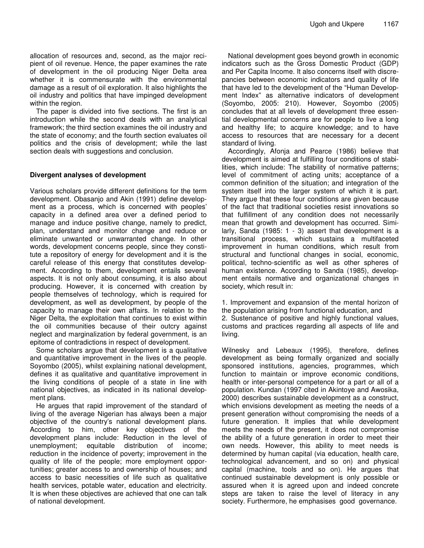allocation of resources and, second, as the major recipient of oil revenue. Hence, the paper examines the rate of development in the oil producing Niger Delta area whether it is commensurate with the environmental damage as a result of oil exploration. It also highlights the oil industry and politics that have impinged development within the region.

The paper is divided into five sections. The first is an introduction while the second deals with an analytical framework; the third section examines the oil industry and the state of economy; and the fourth section evaluates oil politics and the crisis of development; while the last section deals with suggestions and conclusion.

#### **Divergent analyses of development**

Various scholars provide different definitions for the term development. Obasanjo and Akin (1991) define development as a process, which is concerned with peoples' capacity in a defined area over a defined period to manage and induce positive change, namely to predict, plan, understand and monitor change and reduce or eliminate unwanted or unwarranted change. In other words, development concerns people, since they constitute a repository of energy for development and it is the careful release of this energy that constitutes development. According to them, development entails several aspects. It is not only about consuming, it is also about producing. However, it is concerned with creation by people themselves of technology, which is required for development, as well as development, by people of the capacity to manage their own affairs. In relation to the Niger Delta, the exploitation that continues to exist within the oil communities because of their outcry against neglect and marginalization by federal government, is an epitome of contradictions in respect of development.

Some scholars argue that development is a qualitative and quantitative improvement in the lives of the people. Soyombo (2005), whilst explaining national development, defines it as qualitative and quantitative improvement in the living conditions of people of a state in line with national objectives, as indicated in its national development plans.

He argues that rapid improvement of the standard of living of the average Nigerian has always been a major objective of the country's national development plans. According to him, other key objectives of the development plans include: Reduction in the level of unemployment; equitable distribution of income; reduction in the incidence of poverty; improvement in the quality of life of the people; more employment opportunities; greater access to and ownership of houses; and access to basic necessities of life such as qualitative health services, potable water, education and electricity. It is when these objectives are achieved that one can talk of national development.

National development goes beyond growth in economic indicators such as the Gross Domestic Product (GDP) and Per Capita Income. It also concerns itself with discrepancies between economic indicators and quality of life that have led to the development of the "Human Development Index" as alternative indicators of development (Soyombo, 2005: 210). However, Soyombo (2005) concludes that at all levels of development three essential developmental concerns are for people to live a long and healthy life; to acquire knowledge; and to have access to resources that are necessary for a decent standard of living.

Accordingly, Afonja and Pearce (1986) believe that development is aimed at fulfilling four conditions of stabilities, which include: The stability of normative patterns; level of commitment of acting units; acceptance of a common definition of the situation; and integration of the system itself into the larger system of which it is part. They argue that these four conditions are given because of the fact that traditional societies resist innovations so that fulfillment of any condition does not necessarily mean that growth and development has occurred. Similarly, Sanda (1985: 1 - 3) assert that development is a transitional process, which sustains a multifaceted improvement in human conditions, which result from structural and functional changes in social, economic, political, techno-scientific as well as other spheres of human existence. According to Sanda (1985), development entails normative and organizational changes in society, which result in:

1. Improvement and expansion of the mental horizon of the population arising from functional education, and 2. Sustenance of positive and highly functional values, customs and practices regarding all aspects of life and living.

Wilnesky and Lebeaux (1995), therefore, defines development as being formally organized and socially sponsored institutions, agencies, programmes, which function to maintain or improve economic conditions, health or inter-personal competence for a part or all of a population. Kundan (1997 cited in Akintoye and Awosika, 2000) describes sustainable development as a construct, which envisions development as meeting the needs of a present generation without compromising the needs of a future generation. It implies that while development meets the needs of the present, it does not compromise the ability of a future generation in order to meet their own needs. However, this ability to meet needs is determined by human capital (via education, health care, technological advancement, and so on) and physical capital (machine, tools and so on). He argues that continued sustainable development is only possible or assured when it is agreed upon and indeed concrete steps are taken to raise the level of literacy in any society. Furthermore, he emphasises good governance.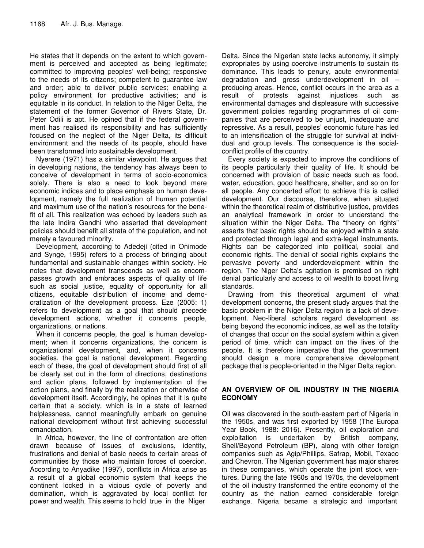He states that it depends on the extent to which government is perceived and accepted as being legitimate; committed to improving peoples' well-being; responsive to the needs of its citizens; competent to guarantee law and order; able to deliver public services; enabling a policy environment for productive activities; and is equitable in its conduct. In relation to the Niger Delta, the statement of the former Governor of Rivers State, Dr. Peter Odili is apt. He opined that if the federal government has realised its responsibility and has sufficiently focused on the neglect of the Niger Delta, its difficult environment and the needs of its people, should have been transformed into sustainable development.

Nyerere (1971) has a similar viewpoint. He argues that in developing nations, the tendency has always been to conceive of development in terms of socio-economics solely. There is also a need to look beyond mere economic indices and to place emphasis on human development, namely the full realization of human potential and maximum use of the nation's resources for the benefit of all. This realization was echoed by leaders such as the late Indira Gandhi who asserted that development policies should benefit all strata of the population, and not merely a favoured minority.

Development, according to Adedeji (cited in Onimode and Synge, 1995) refers to a process of bringing about fundamental and sustainable changes within society. He notes that development transcends as well as encompasses growth and embraces aspects of quality of life such as social justice, equality of opportunity for all citizens, equitable distribution of income and democratization of the development process. Eze (2005: 1) refers to development as a goal that should precede development actions, whether it concerns people, organizations, or nations.

When it concerns people, the goal is human development; when it concerns organizations, the concern is organizational development, and, when it concerns societies, the goal is national development. Regarding each of these, the goal of development should first of all be clearly set out in the form of directions, destinations and action plans, followed by implementation of the action plans, and finally by the realization or otherwise of development itself. Accordingly, he opines that it is quite certain that a society, which is in a state of learned helplessness, cannot meaningfully embark on genuine national development without first achieving successful emancipation.

In Africa, however, the line of confrontation are often drawn because of issues of exclusions, identity, frustrations and denial of basic needs to certain areas of communities by those who maintain forces of coercion. According to Anyadike (1997), conflicts in Africa arise as a result of a global economic system that keeps the continent locked in a vicious cycle of poverty and domination, which is aggravated by local conflict for power and wealth. This seems to hold true in the Niger

Delta. Since the Nigerian state lacks autonomy, it simply expropriates by using coercive instruments to sustain its dominance. This leads to penury, acute environmental degradation and gross underdevelopment in oil – producing areas. Hence, conflict occurs in the area as a result of protests against injustices such as environmental damages and displeasure with successive government policies regarding programmes of oil companies that are perceived to be unjust, inadequate and repressive. As a result, peoples' economic future has led to an intensification of the struggle for survival at individual and group levels. The consequence is the socialconflict profile of the country.

Every society is expected to improve the conditions of its people particularly their quality of life. It should be concerned with provision of basic needs such as food, water, education, good healthcare, shelter, and so on for all people. Any concerted effort to achieve this is called development. Our discourse, therefore, when situated within the theoretical realm of distributive justice, provides an analytical framework in order to understand the situation within the Niger Delta. The "theory on rights" asserts that basic rights should be enjoyed within a state and protected through legal and extra-legal instruments. Rights can be categorized into political, social and economic rights. The denial of social rights explains the pervasive poverty and underdevelopment within the region. The Niger Delta's agitation is premised on right denial particularly and access to oil wealth to boost living standards.

Drawing from this theoretical argument of what development concerns, the present study argues that the basic problem in the Niger Delta region is a lack of development. Neo-liberal scholars regard development as being beyond the economic indices, as well as the totality of changes that occur on the social system within a given period of time, which can impact on the lives of the people. It is therefore imperative that the government should design a more comprehensive development package that is people-oriented in the Niger Delta region.

#### **AN OVERVIEW OF OIL INDUSTRY IN THE NIGERIA ECONOMY**

Oil was discovered in the south-eastern part of Nigeria in the 1950s, and was first exported by 1958 (The Europa Year Book, 1988: 2016). Presently, oil exploration and exploitation is undertaken by British company, Shell/Beyond Petroleum (BP), along with other foreign companies such as Agip/Phillips, Safrap, Mobil, Texaco and Chevron. The Nigerian government has major shares in these companies, which operate the joint stock ventures. During the late 1960s and 1970s, the development of the oil industry transformed the entire economy of the country as the nation earned considerable foreign exchange. Nigeria became a strategic and important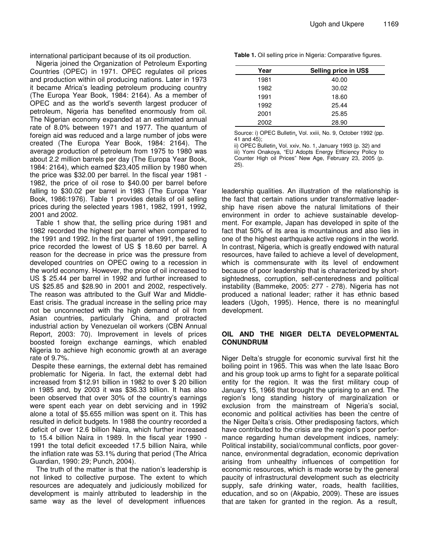international participant because of its oil production.

Nigeria joined the Organization of Petroleum Exporting Countries (OPEC) in 1971. OPEC regulates oil prices and production within oil producing nations. Later in 1973 it became Africa's leading petroleum producing country (The Europa Year Book, 1984: 2164). As a member of OPEC and as the world's seventh largest producer of petroleum, Nigeria has benefited enormously from oil. The Nigerian economy expanded at an estimated annual rate of 8.0% between 1971 and 1977. The quantum of foreign aid was reduced and a large number of jobs were created (The Europa Year Book, 1984: 2164). The average production of petroleum from 1975 to 1980 was about 2.2 million barrels per day (The Europa Year Book, 1984: 2164), which earned \$23,405 million by 1980 when the price was \$32.00 per barrel. In the fiscal year 1981 - 1982, the price of oil rose to \$40.00 per barrel before falling to \$30.02 per barrel in 1983 (The Europa Year Book, 1986:1976). Table 1 provides details of oil selling prices during the selected years 1981, 1982, 1991, 1992, 2001 and 2002.

Table 1 show that, the selling price during 1981 and 1982 recorded the highest per barrel when compared to the 1991 and 1992. In the first quarter of 1991, the selling price recorded the lowest of US \$ 18.60 per barrel. A reason for the decrease in price was the pressure from developed countries on OPEC owing to a recession in the world economy. However, the price of oil increased to US \$ 25.44 per barrel in 1992 and further increased to US \$25.85 and \$28.90 in 2001 and 2002, respectively. The reason was attributed to the Gulf War and Middle-East crisis. The gradual increase in the selling price may not be unconnected with the high demand of oil from Asian countries, particularly China, and protracted industrial action by Venezuelan oil workers (CBN Annual Report, 2003: 70). Improvement in levels of prices boosted foreign exchange earnings, which enabled Nigeria to achieve high economic growth at an average rate of 9.7%.

Despite these earnings, the external debt has remained problematic for Nigeria. In fact, the external debt had increased from \$12.91 billion in 1982 to over \$ 20 billion in 1985 and, by 2003 it was \$36.33 billion. It has also been observed that over 30% of the country's earnings were spent each year on debt servicing and in 1992 alone a total of \$5.655 million was spent on it. This has resulted in deficit budgets. In 1988 the country recorded a deficit of over 12.6 billion Naira, which further increased to 15.4 billion Naira in 1989. In the fiscal year 1990 - 1991 the total deficit exceeded 17.5 billion Naira, while the inflation rate was 53.1% during that period (The Africa Guardian, 1990: 29; Punch, 2004).

The truth of the matter is that the nation's leadership is not linked to collective purpose. The extent to which resources are adequately and judiciously mobilized for development is mainly attributed to leadership in the same way as the level of development influences

**Table 1.** Oil selling price in Nigeria: Comparative figures.

| Year | Selling price in US\$ |
|------|-----------------------|
| 1981 | 40.00                 |
| 1982 | 30.02                 |
| 1991 | 18.60                 |
| 1992 | 25.44                 |
| 2001 | 25.85                 |
| 2002 | 28.90                 |

Source: i) OPEC Bulletin, Vol. xxiii, No. 9, October 1992 (pp. 41 and 45);

ii) OPEC Bulletin, Vol. xxiv, No. 1, January 1993 (p. 32) and iii) Yomi Onakoya, "EU Adopts Energy Efficiency Policy to Counter High oil Prices" New Age, February 23, 2005 (p. 25).

leadership qualities. An illustration of the relationship is the fact that certain nations under transformative leadership have risen above the natural limitations of their environment in order to achieve sustainable development. For example, Japan has developed in spite of the fact that 50% of its area is mountainous and also lies in one of the highest earthquake active regions in the world. In contrast, Nigeria, which is greatly endowed with natural resources, have failed to achieve a level of development, which is commensurate with its level of endowment because of poor leadership that is characterized by shortsightedness, corruption, self-centeredness and political instability (Bammeke, 2005: 277 - 278). Nigeria has not produced a national leader; rather it has ethnic based leaders (Ugoh, 1995). Hence, there is no meaningful development.

#### **OIL AND THE NIGER DELTA DEVELOPMENTAL CONUNDRUM**

Niger Delta's struggle for economic survival first hit the boiling point in 1965. This was when the late Isaac Boro and his group took up arms to fight for a separate political entity for the region. It was the first military coup of January 15, 1966 that brought the uprising to an end. The region's long standing history of marginalization or exclusion from the mainstream of Nigeria's social, economic and political activities has been the centre of the Niger Delta's crisis. Other predisposing factors, which have contributed to the crisis are the region's poor performance regarding human development indices, namely: Political instability, social/communal conflicts, poor governance, environmental degradation, economic deprivation arising from unhealthy influences of competition for economic resources, which is made worse by the general paucity of infrastructural development such as electricity supply, safe drinking water, roads, health facilities, education, and so on (Akpabio, 2009). These are issues that are taken for granted in the region. As a result,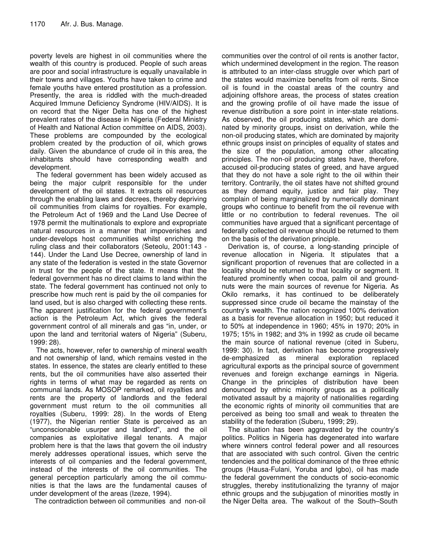poverty levels are highest in oil communities where the wealth of this country is produced. People of such areas are poor and social infrastructure is equally unavailable in their towns and villages. Youths have taken to crime and female youths have entered prostitution as a profession. Presently, the area is riddled with the much-dreaded Acquired Immune Deficiency Syndrome (HIV/AIDS). It is on record that the Niger Delta has one of the highest prevalent rates of the disease in Nigeria (Federal Ministry of Health and National Action committee on AIDS, 2003). These problems are compounded by the ecological problem created by the production of oil, which grows daily. Given the abundance of crude oil in this area, the inhabitants should have corresponding wealth and development.

The federal government has been widely accused as being the major culprit responsible for the under development of the oil states. It extracts oil resources through the enabling laws and decrees, thereby depriving oil communities from claims for royalties. For example, the Petroleum Act of 1969 and the Land Use Decree of 1978 permit the multinationals to explore and expropriate natural resources in a manner that impoverishes and under-develops host communities whilst enriching the ruling class and their collaborators (Seteolu, 2001:143 - 144). Under the Land Use Decree, ownership of land in any state of the federation is vested in the state Governor in trust for the people of the state. It means that the federal government has no direct claims to land within the state. The federal government has continued not only to prescribe how much rent is paid by the oil companies for land used, but is also charged with collecting these rents. The apparent justification for the federal government's action is the Petroleum Act, which gives the federal government control of all minerals and gas "in, under, or upon the land and territorial waters of Nigeria" (Suberu, 1999: 28).

The acts, however, refer to ownership of mineral wealth and not ownership of land, which remains vested in the states. In essence, the states are clearly entitled to these rents, but the oil communities have also asserted their rights in terms of what may be regarded as rents on communal lands. As MOSOP remarked, oil royalties and rents are the property of landlords and the federal government must return to the oil communities all royalties (Suberu, 1999: 28). In the words of Eteng (1977), the Nigerian rentier State is perceived as an "unconscionable usurper and landlord", and the oil companies as exploitative illegal tenants. A major problem here is that the laws that govern the oil industry merely addresses operational issues, which serve the interests of oil companies and the federal government, instead of the interests of the oil communities. The general perception particularly among the oil communities is that the laws are the fundamental causes of under development of the areas (Izeze, 1994).

The contradiction between oil communities and non-oil

communities over the control of oil rents is another factor, which undermined development in the region. The reason is attributed to an inter-class struggle over which part of the states would maximize benefits from oil rents. Since oil is found in the coastal areas of the country and adjoining offshore areas, the process of states creation and the growing profile of oil have made the issue of revenue distribution a sore point in inter-state relations. As observed, the oil producing states, which are dominated by minority groups, insist on derivation, while the non-oil producing states, which are dominated by majority ethnic groups insist on principles of equality of states and the size of the population, among other allocating principles. The non-oil producing states have, therefore, accused oil-producing states of greed, and have argued that they do not have a sole right to the oil within their territory. Contrarily, the oil states have not shifted ground as they demand equity, justice and fair play. They complain of being marginalized by numerically dominant groups who continue to benefit from the oil revenue with little or no contribution to federal revenues. The oil communities have argued that a significant percentage of federally collected oil revenue should be returned to them on the basis of the derivation principle.

Derivation is, of course, a long-standing principle of revenue allocation in Nigeria. It stipulates that a significant proportion of revenues that are collected in a locality should be returned to that locality or segment. It featured prominently when cocoa, palm oil and groundnuts were the main sources of revenue for Nigeria. As Okilo remarks, it has continued to be deliberately suppressed since crude oil became the mainstay of the country's wealth. The nation recognized 100% derivation as a basis for revenue allocation in 1950; but reduced it to 50% at independence in 1960; 45% in 1970; 20% in 1975; 15% in 1982; and 3% in 1992 as crude oil became the main source of national revenue (cited in Suberu, 1999: 30). In fact, derivation has become progressively de-emphasized as mineral exploration replaced agricultural exports as the principal source of government revenues and foreign exchange earnings in Nigeria. Change in the principles of distribution have been denounced by ethnic minority groups as a politically motivated assault by a majority of nationalities regarding the economic rights of minority oil communities that are perceived as being too small and weak to threaten the stability of the federation (Suberu, 1999; 29).

The situation has been aggravated by the country's politics. Politics in Nigeria has degenerated into warfare where winners control federal power and all resources that are associated with such control. Given the centric tendencies and the political dominance of the three ethnic groups (Hausa-Fulani, Yoruba and Igbo), oil has made the federal government the conducts of socio-economic struggles, thereby institutionalizing the tyranny of major ethnic groups and the subjugation of minorities mostly in the Niger Delta area. The walkout of the South–South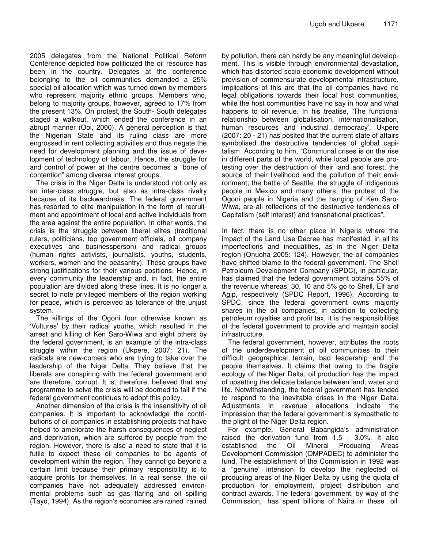2005 delegates from the National Political Reform Conference depicted how politicized the oil resource has been in the country. Delegates at the conference belonging to the oil communities demanded a 25% special oil allocation which was turned down by members who represent majority ethnic groups. Members who, belong to majority groups, however, agreed to 17% from the present 13%. On protest, the South- South delegates staged a walkout, which ended the conference in an abrupt manner (Obi, 2000). A general perception is that the Nigerian State and its ruling class are more engrossed in rent collecting activities and thus negate the need for development planning and the issue of development of technology of labour. Hence, the struggle for and control of power at the centre becomes a "bone of contention" among diverse interest groups.

The crisis in the Niger Delta is understood not only as an inter-class struggle, but also as intra-class rivalry because of its backwardness. The federal government has resorted to elite manipulation in the form of recruitment and appointment of local and active individuals from the area against the entire population. In other words, the crisis is the struggle between liberal elites (traditional rulers, politicians, top government officials, oil company executives and businessperson) and radical groups (human rights activists, journalists, youths, students, workers, women and the peasantry). These groups have strong justifications for their various positions. Hence, in every community the leadership and, in fact, the entire population are divided along these lines. It is no longer a secret to note privileged members of the region working for peace, which is perceived as tolerance of the unjust system.

The killings of the Ogoni four otherwise known as 'Vultures' by their radical youths, which resulted in the arrest and killing of Ken Saro-Wiwa and eight others by the federal government, is an example of the intra-class struggle within the region (Ukpere, 2007: 21). The radicals are new-comers who are trying to take over the leadership of the Niger Delta. They believe that the liberals are conspiring with the federal government and are therefore, corrupt. It is, therefore, believed that any programme to solve the crisis will be doomed to fail if the federal government continues to adopt this policy.

Another dimension of the crisis is the insensitivity of oil companies. It is important to acknowledge the contributions of oil companies in establishing projects that have helped to ameliorate the harsh consequences of neglect and deprivation, which are suffered by people from the region. However, there is also a need to state that it is futile to expect these oil companies to be agents of development within the region. They cannot go beyond a certain limit because their primary responsibility is to acquire profits for themselves. In a real sense, the oil companies have not adequately addressed environmental problems such as gas flaring and oil spilling (Tayo, 1994). As the region's economies are rained rained by pollution, there can hardly be any meaningful development. This is visible through environmental devastation, which has distorted socio-economic development without provision of commensurate developmental infrastructure. Implications of this are that the oil companies have no legal obligations towards their local host communities, while the host communities have no say in how and what happens to oil revenue. In his treatise, *'*The functional relationship between globalisation, internationalisation, human resources and industrial democracy', Ukpere (2007: 20 - 21) has posited that the current state of affairs symbolised the destructive tendencies of global capitalism*.* According to him, "Communal crises is on the rise in different parts of the world, while local people are protesting over the destruction of their land and forest, the source of their livelihood and the pollution of their environment; the battle of Seattle, the struggle of indigenous people in Mexico and many others, the protest of the Ogoni people in Nigeria and the hanging of Ken Saro-Wiwa, are all reflections of the destructive tendencies of Capitalism (self interest) and transnational practices".

In fact, there is no other place in Nigeria where the impact of the Land Use Decree has manifested, in all its imperfections and inequalities, as in the Niger Delta region (Onuoha 2005: 124). However, the oil companies have shifted blame to the federal government. The Shell Petroleum Development Company (SPDC), in particular, has claimed that the federal government obtains 55% of the revenue whereas, 30, 10 and 5% go to Shell, Elf and Agip, respectively (SPDC Report, 1996). According to SPDC, since the federal government owns majority shares in the oil companies, in addition to collecting petroleum royalties and profit tax, it is the responsibilities of the federal government to provide and maintain social infrastructure.

The federal government, however, attributes the roots of the underdevelopment of oil communities to their difficult geographical terrain, bad leadership and the people themselves. It claims that owing to the fragile ecology of the Niger Delta, oil production has the impact of upsetting the delicate balance between land, water and life. Notwithstanding, the federal government has tended to respond to the inevitable crises in the Niger Delta. Adjustments in revenue allocations indicate the impression that the federal government is sympathetic to the plight of the Niger Delta region.

For example, General Babangida's administration raised the derivation fund from 1.5 - 3.0%. It also established the Oil Mineral Producing Areas Development Commission (OMPADEC) to administer the fund. The establishment of the Commission in 1992 was a "genuine" intension to develop the neglected oil producing areas of the Niger Delta by using the quota of production for employment, project distribution and contract awards. The federal government, by way of the Commission, has spent billions of Naira in these oil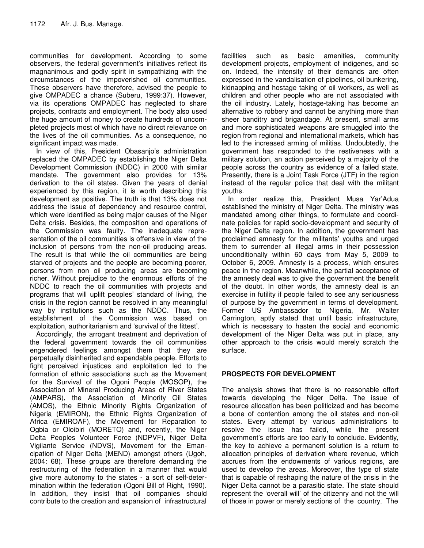communities for development. According to some observers, the federal government's initiatives reflect its magnanimous and godly spirit in sympathizing with the circumstances of the impoverished oil communities. These observers have therefore, advised the people to give OMPADEC a chance (Suberu, 1999:37). However, via its operations OMPADEC has neglected to share projects, contracts and employment. The body also used the huge amount of money to create hundreds of uncompleted projects most of which have no direct relevance on the lives of the oil communities. As a consequence, no significant impact was made.

In view of this, President Obasanjo's administration replaced the OMPADEC by establishing the Niger Delta Development Commission (NDDC) in 2000 with similar mandate. The government also provides for 13% derivation to the oil states. Given the years of denial experienced by this region, it is worth describing this development as positive. The truth is that 13% does not address the issue of dependency and resource control, which were identified as being major causes of the Niger Delta crisis. Besides, the composition and operations of the Commission was faulty. The inadequate representation of the oil communities is offensive in view of the inclusion of persons from the non-oil producing areas. The result is that while the oil communities are being starved of projects and the people are becoming poorer, persons from non oil producing areas are becoming richer. Without prejudice to the enormous efforts of the NDDC to reach the oil communities with projects and programs that will uplift peoples' standard of living, the crisis in the region cannot be resolved in any meaningful way by institutions such as the NDDC. Thus, the establishment of the Commission was based on exploitation, authoritarianism and 'survival of the fittest'.

Accordingly, the arrogant treatment and deprivation of the federal government towards the oil communities engendered feelings amongst them that they are perpetually disinherited and expendable people. Efforts to fight perceived injustices and exploitation led to the formation of ethnic associations such as the Movement for the Survival of the Ogoni People (MOSOP), the Association of Mineral Producing Areas of River States (AMPARS), the Association of Minority Oil States (AMOS), the Ethnic Minority Rights Organization of Nigeria (EMIRON), the Ethnic Rights Organization of Africa (EMIROAF), the Movement for Reparation to Ogbia or Oloibiri (MORETO) and, recently, the Niger Delta Peoples Volunteer Force (NDPVF), Niger Delta Vigilante Service (NDVS), Movement for the Emancipation of Niger Delta (MEND) amongst others (Ugoh, 2004: 68). These groups are therefore demanding the restructuring of the federation in a manner that would give more autonomy to the states - a sort of self-determination within the federation (Ogoni Bill of Right, 1990). In addition, they insist that oil companies should contribute to the creation and expansion of infrastructural

facilities such as basic amenities, community development projects, employment of indigenes, and so on. Indeed, the intensity of their demands are often expressed in the vandalisation of pipelines, oil bunkering, kidnapping and hostage taking of oil workers, as well as children and other people who are not associated with the oil industry. Lately, hostage-taking has become an alternative to robbery and cannot be anything more than sheer banditry and brigandage. At present, small arms and more sophisticated weapons are smuggled into the region from regional and international markets, which has led to the increased arming of militias. Undoubtedly, the government has responded to the restiveness with a military solution, an action perceived by a majority of the people across the country as evidence of a failed state. Presently, there is a Joint Task Force (JTF) in the region instead of the regular police that deal with the militant youths.

In order realize this, President Musa Yar'Adua established the ministry of Niger Delta. The ministry was mandated among other things, to formulate and coordinate policies for rapid socio-development and security of the Niger Delta region. In addition, the government has proclaimed amnesty for the militants' youths and urged them to surrender all illegal arms in their possession unconditionally within 60 days from May 5, 2009 to October 6, 2009. Amnesty is a process, which ensures peace in the region. Meanwhile, the partial acceptance of the amnesty deal was to give the government the benefit of the doubt. In other words, the amnesty deal is an exercise in futility if people failed to see any seriousness of purpose by the government in terms of development. Former US Ambassador to Nigeria, Mr. Walter Carrington, aptly stated that until basic infrastructure, which is necessary to hasten the social and economic development of the Niger Delta was put in place, any other approach to the crisis would merely scratch the surface.

## **PROSPECTS FOR DEVELOPMENT**

The analysis shows that there is no reasonable effort towards developing the Niger Delta. The issue of resource allocation has been politicized and has become a bone of contention among the oil states and non-oil states. Every attempt by various administrations to resolve the issue has failed, while the present government's efforts are too early to conclude. Evidently, the key to achieve a permanent solution is a return to allocation principles of derivation where revenue, which accrues from the endowments of various regions, are used to develop the areas. Moreover, the type of state that is capable of reshaping the nature of the crisis in the Niger Delta cannot be a parasitic state. The state should represent the 'overall will' of the citizenry and not the will of those in power or merely sections of the country. The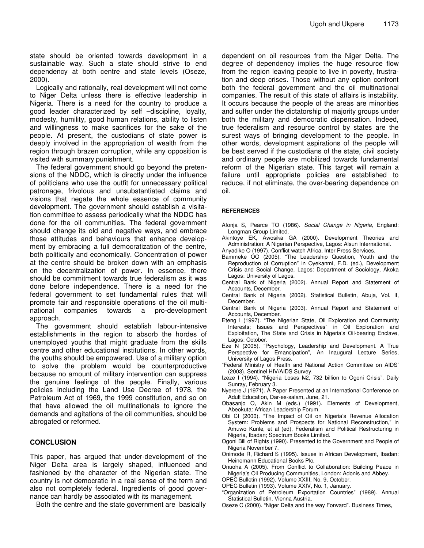state should be oriented towards development in a sustainable way. Such a state should strive to end dependency at both centre and state levels (Oseze, 2000).

Logically and rationally, real development will not come to Niger Delta unless there is effective leadership in Nigeria. There is a need for the country to produce a good leader characterized by self –discipline, loyalty, modesty, humility, good human relations, ability to listen and willingness to make sacrifices for the sake of the people. At present, the custodians of state power is deeply involved in the appropriation of wealth from the region through brazen corruption, while any opposition is visited with summary punishment.

The federal government should go beyond the pretensions of the NDDC, which is directly under the influence of politicians who use the outfit for unnecessary political patronage, frivolous and unsubstantiated claims and visions that negate the whole essence of community development. The government should establish a visitation committee to assess periodically what the NDDC has done for the oil communities. The federal government should change its old and negative ways, and embrace those attitudes and behaviours that enhance development by embracing a full democratization of the centre, both politically and economically. Concentration of power at the centre should be broken down with an emphasis on the decentralization of power. In essence, there should be commitment towards true federalism as it was done before independence. There is a need for the federal government to set fundamental rules that will promote fair and responsible operations of the oil multinational companies towards a pro-development approach.

The government should establish labour-intensive establishments in the region to absorb the hordes of unemployed youths that might graduate from the skills centre and other educational institutions. In other words, the youths should be empowered. Use of a military option to solve the problem would be counterproductive because no amount of military intervention can suppress the genuine feelings of the people. Finally, various policies including the Land Use Decree of 1978, the Petroleum Act of 1969, the 1999 constitution, and so on that have allowed the oil multinationals to ignore the demands and agitations of the oil communities, should be abrogated or reformed.

#### **CONCLUSION**

This paper, has argued that under-development of the Niger Delta area is largely shaped, influenced and fashioned by the character of the Nigerian state. The country is not democratic in a real sense of the term and also not completely federal. Ingredients of good governance can hardly be associated with its management.

Both the centre and the state government are basically

dependent on oil resources from the Niger Delta. The degree of dependency implies the huge resource flow from the region leaving people to live in poverty, frustration and deep crises. Those without any option confront both the federal government and the oil multinational companies. The result of this state of affairs is instability. It occurs because the people of the areas are minorities and suffer under the dictatorship of majority groups under both the military and democratic dispensation. Indeed, true federalism and resource control by states are the surest ways of bringing development to the people. In other words, development aspirations of the people will be best served if the custodians of the state, civil society and ordinary people are mobilized towards fundamental reform of the Nigerian state. This target will remain a failure until appropriate policies are established to reduce, if not eliminate, the over-bearing dependence on oil.

#### **REFERENCES**

- Afonja S, Pearce TO (1986). *Social Change in Nigeria,* England: Longman Group Limited.
- Akintoye EK, Awosika GA (2000). Development Theories and Administration: A Nigerian Perspective, Lagos: Alsun International.
- Anyadike O (1997). Conflict watch Africa, Inter Press Services.
- Bammeke OO (2005). "The Leadership Question, Youth and the Reproduction of Corruption" in Oyekanmi, F.D. (ed.), Development Crisis and Social Change, Lagos: Department of Sociology, Akoka Lagos: University of Lagos.
- Central Bank of Nigeria (2002). Annual Report and Statement of Accounts, December.
- Central Bank of Nigeria (2002). Statistical Bulletin, Abuja, Vol. II, December.
- Central Bank of Nigeria (2003). Annual Report and Statement of Accounts, December.
- Eteng I (1997). "The Nigerian State, Oil Exploration and Community Interests; Issues and Perspectives" in Oil Exploration and Exploitation, The State and Crisis in Nigeria's Oil-bearing Enclave, Lagos: October.
- Eze N (2005). "Psychology, Leadership and Development. A True Perspective for Emancipation", An Inaugural Lecture Series, University of Lagos Press.
- "Federal Ministry of Health and National Action Committee on AIDS' (2003). Sentinel HIV/AIDS Survey.
- Izeze I (1994). "Nigeria Loses N2, 732 billion to Ogoni Crisis", Daily Sunray, February 3.
- Nyerere J (1971). A Paper Presented at an International Conference on Adult Education, Dar-es-salam, June, 21.
- Obasanjo O, Akin M (eds.) (1991). Elements of Development, Abeokuta: African Leadership Forum.
- Obi CI (2000). "The Impact of Oil on Nigeria's Revenue Allocation System: Problems and Prospects for National Reconstruction," in Amuwo Kunle, et al (ed), Federalism and Political Restructuring in Nigeria, Ibadan; Spectrum Books Limited.
- Ogoni Bill of Rights (1990). Presented to the Government and People of Nigeria November 7.
- Onimode R, Richard S (1995). Issues in African Development, Ibadan: Heinemann Educational Books Plc.
- Onuoha A (2005). From Conflict to Collaboration: Building Peace in Nigeria's Oil Producing Communities, London: Adonis and Abbey.
- OPEC Bulletin (1992). Volume XXIII, No. 9, October.
- OPEC Bulletin (1993). Volume XXIV, No. 1, January.
- "Organization of Petroleum Exportation Countries" (1989). Annual Statistical Bulletin, Vienna Austria.
- Oseze C (2000). "Niger Delta and the way Forward". Business Times,